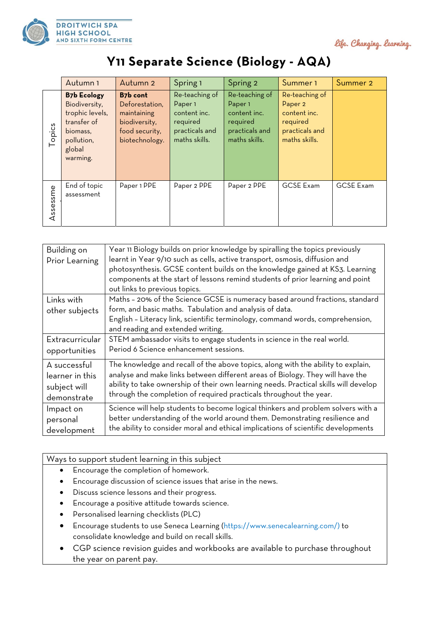



## **Y11 Separate Science (Biology - AQA)**

|          | Autumn 1                                                                                                              | Autumn 2                                                                                       | Spring 1                                                                                 | Spring 2                                                                                 | Summer <sub>1</sub>                                                                                 | Summer 2         |
|----------|-----------------------------------------------------------------------------------------------------------------------|------------------------------------------------------------------------------------------------|------------------------------------------------------------------------------------------|------------------------------------------------------------------------------------------|-----------------------------------------------------------------------------------------------------|------------------|
| Topics   | <b>B7b Ecology</b><br>Biodiversity,<br>trophic levels,<br>transfer of<br>biomass,<br>pollution,<br>global<br>warming. | B7b cont<br>Deforestation,<br>maintaining<br>biodiversity,<br>food security,<br>biotechnology. | Re-teaching of<br>Paper 1<br>content inc.<br>required<br>practicals and<br>maths skills. | Re-teaching of<br>Paper 1<br>content inc.<br>required<br>practicals and<br>maths skills. | Re-teaching of<br>Paper <sub>2</sub><br>content inc.<br>required<br>practicals and<br>maths skills. |                  |
| Assessme | End of topic<br>assessment                                                                                            | Paper 1 PPE                                                                                    | Paper 2 PPE                                                                              | Paper 2 PPE                                                                              | <b>GCSE Exam</b>                                                                                    | <b>GCSE Exam</b> |

| Building on<br>Prior Learning | Year 11 Biology builds on prior knowledge by spiralling the topics previously<br>learnt in Year 9/10 such as cells, active transport, osmosis, diffusion and<br>photosynthesis. GCSE content builds on the knowledge gained at KS3. Learning<br>components at the start of lessons remind students of prior learning and point<br>out links to previous topics. |  |  |  |  |
|-------------------------------|-----------------------------------------------------------------------------------------------------------------------------------------------------------------------------------------------------------------------------------------------------------------------------------------------------------------------------------------------------------------|--|--|--|--|
| Links with                    | Maths - 20% of the Science GCSE is numeracy based around fractions, standard                                                                                                                                                                                                                                                                                    |  |  |  |  |
| other subjects                | form, and basic maths. Tabulation and analysis of data.<br>English - Literacy link, scientific terminology, command words, comprehension,<br>and reading and extended writing.                                                                                                                                                                                  |  |  |  |  |
| Extracurricular               | STEM ambassador visits to engage students in science in the real world.                                                                                                                                                                                                                                                                                         |  |  |  |  |
| opportunities                 | Period 6 Science enhancement sessions.                                                                                                                                                                                                                                                                                                                          |  |  |  |  |
| A successful                  | The knowledge and recall of the above topics, along with the ability to explain,                                                                                                                                                                                                                                                                                |  |  |  |  |
| learner in this               | analyse and make links between different areas of Biology. They will have the                                                                                                                                                                                                                                                                                   |  |  |  |  |
| subject will                  | ability to take ownership of their own learning needs. Practical skills will develop                                                                                                                                                                                                                                                                            |  |  |  |  |
| demonstrate                   | through the completion of required practicals throughout the year.                                                                                                                                                                                                                                                                                              |  |  |  |  |
| Impact on                     | Science will help students to become logical thinkers and problem solvers with a                                                                                                                                                                                                                                                                                |  |  |  |  |
| personal                      | better understanding of the world around them. Demonstrating resilience and                                                                                                                                                                                                                                                                                     |  |  |  |  |
| development                   | the ability to consider moral and ethical implications of scientific developments                                                                                                                                                                                                                                                                               |  |  |  |  |

Ways to support student learning in this subject

- Encourage the completion of homework.
- Encourage discussion of science issues that arise in the news.
- Discuss science lessons and their progress.
- Encourage a positive attitude towards science.
- Personalised learning checklists (PLC)
- Encourage students to use Seneca Learning (https://www.senecalearning.com/) to consolidate knowledge and build on recall skills.
- CGP science revision guides and workbooks are available to purchase throughout the year on parent pay.